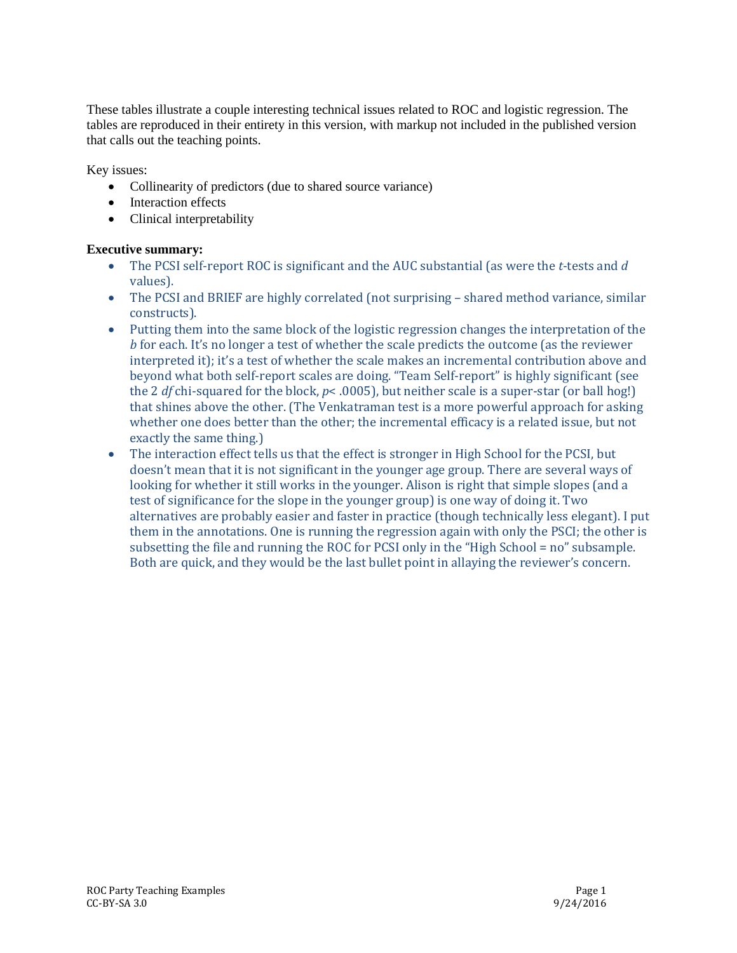These tables illustrate a couple interesting technical issues related to ROC and logistic regression. The tables are reproduced in their entirety in this version, with markup not included in the published version that calls out the teaching points.

Key issues:

- Collinearity of predictors (due to shared source variance)
- Interaction effects
- Clinical interpretability

## **Executive summary:**

- The PCSI self-report ROC is significant and the AUC substantial (as were the *t*-tests and *d* values).
- The PCSI and BRIEF are highly correlated (not surprising shared method variance, similar constructs).
- Putting them into the same block of the logistic regression changes the interpretation of the *b* for each. It's no longer a test of whether the scale predicts the outcome (as the reviewer interpreted it); it's a test of whether the scale makes an incremental contribution above and beyond what both self-report scales are doing. "Team Self-report" is highly significant (see the 2 *df* chi-squared for the block, *p*< .0005), but neither scale is a super-star (or ball hog!) that shines above the other. (The Venkatraman test is a more powerful approach for asking whether one does better than the other; the incremental efficacy is a related issue, but not exactly the same thing.)
- The interaction effect tells us that the effect is stronger in High School for the PCSI, but doesn't mean that it is not significant in the younger age group. There are several ways of looking for whether it still works in the younger. Alison is right that simple slopes (and a test of significance for the slope in the younger group) is one way of doing it. Two alternatives are probably easier and faster in practice (though technically less elegant). I put them in the annotations. One is running the regression again with only the PSCI; the other is subsetting the file and running the ROC for PCSI only in the "High School = no" subsample. Both are quick, and they would be the last bullet point in allaying the reviewer's concern.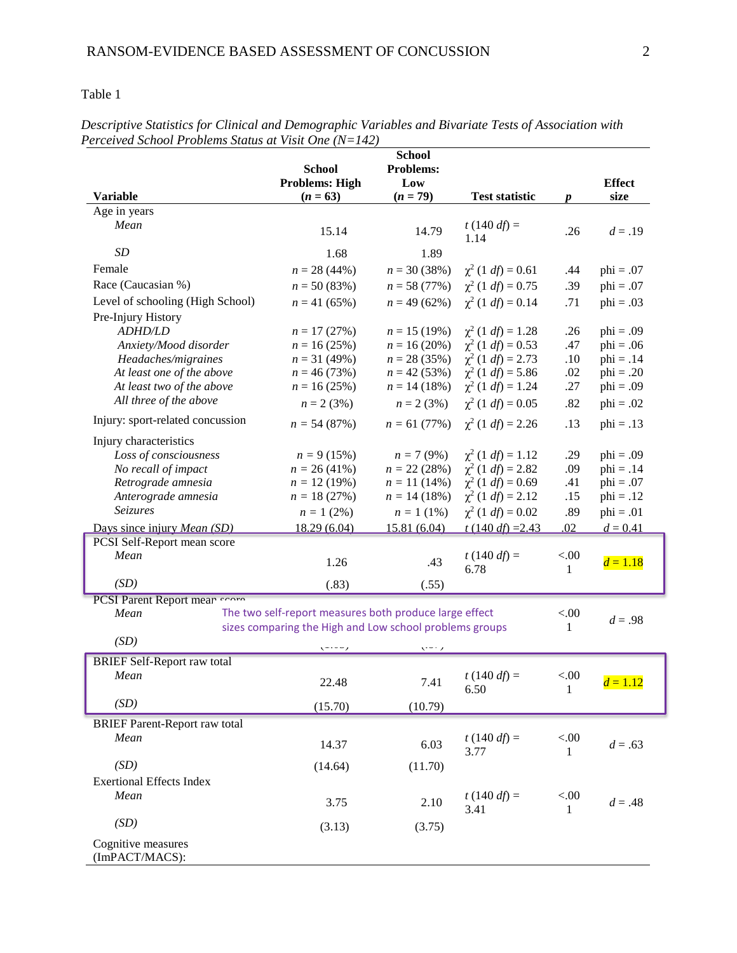| $\frac{1}{2}$                        | <b>School</b>                                           | <b>School</b><br>Problems: |                                |                        |               |
|--------------------------------------|---------------------------------------------------------|----------------------------|--------------------------------|------------------------|---------------|
|                                      | <b>Problems: High</b>                                   | Low                        |                                |                        | <b>Effect</b> |
| <b>Variable</b>                      | $(n = 63)$                                              | $(n = 79)$                 | <b>Test statistic</b>          | $\boldsymbol{p}$       | size          |
| Age in years                         |                                                         |                            |                                |                        |               |
| Mean                                 | 15.14                                                   | 14.79                      | $t(140 df) =$<br>1.14          | .26                    | $d = .19$     |
| SD                                   | 1.68                                                    | 1.89                       |                                |                        |               |
| Female                               | $n = 28(44%)$                                           | $n = 30(38%)$              | $\chi^2$ (1 <i>df</i> ) = 0.61 | .44                    | $phi = .07$   |
| Race (Caucasian %)                   | $n = 50(83%)$                                           | $n = 58(77%)$              | $\chi^2$ (1 <i>df</i> ) = 0.75 | .39                    | $phi = .07$   |
| Level of schooling (High School)     | $n = 41(65%)$                                           | $n = 49(62\%)$             | $\chi^2$ (1 <i>df</i> ) = 0.14 | .71                    | $phi = .03$   |
| Pre-Injury History                   |                                                         |                            |                                |                        |               |
| <b>ADHD/LD</b>                       | $n = 17(27%)$                                           | $n = 15(19%)$              | $\chi^2$ (1 <i>df</i> ) = 1.28 | .26                    | $phi = .09$   |
| Anxiety/Mood disorder                | $n = 16(25%)$                                           | $n = 16(20\%)$             | $\chi^2$ (1 <i>df</i> ) = 0.53 | .47                    | $phi = .06$   |
| Headaches/migraines                  | $n = 31 (49%)$                                          | $n = 28(35%)$              | $\chi^2$ (1 <i>df</i> ) = 2.73 | .10                    | $phi = .14$   |
| At least one of the above            | $n = 46(73%)$                                           | $n = 42 (53%)$             | $\chi^2$ (1 <i>df</i> ) = 5.86 | .02                    | $phi = .20$   |
| At least two of the above            | $n = 16(25%)$                                           | $n = 14(18%)$              | $\chi^2$ (1 <i>df</i> ) = 1.24 | .27                    | $phi = .09$   |
| All three of the above               | $n = 2 (3%)$                                            | $n = 2 (3%)$               | $\chi^2$ (1 <i>df</i> ) = 0.05 | .82                    | $phi = .02$   |
| Injury: sport-related concussion     | $n = 54(87%)$                                           | $n = 61 (77%)$             | $\chi^2$ (1 <i>df</i> ) = 2.26 | .13                    | $phi = .13$   |
| Injury characteristics               |                                                         |                            |                                |                        |               |
| Loss of consciousness                | $n = 9(15%)$                                            | $n = 7(9%)$                | $\chi^2$ (1 <i>df</i> ) = 1.12 | .29                    | $phi = .09$   |
| No recall of impact                  | $n = 26(41\%)$                                          | $n = 22(28%)$              | $\chi^2$ (1 <i>df</i> ) = 2.82 | .09                    | $phi = .14$   |
| Retrograde amnesia                   | $n = 12(19%)$                                           | $n = 11(14\%)$             | $\chi^2$ (1 <i>df</i> ) = 0.69 | .41                    | $phi = .07$   |
| Anterograde amnesia                  | $n = 18(27%)$                                           | $n = 14(18%)$              | $\chi^2$ (1 <i>df</i> ) = 2.12 | .15                    | $phi = .12$   |
| Seizures                             | $n = 1 (2\%)$                                           | $n = 1(1\%)$               | $\chi^2$ (1 <i>df</i> ) = 0.02 | .89                    | $phi = .01$   |
| Days since injury Mean (SD)          | 18.29 (6.04)                                            | 15.81 (6.04)               | $t(140 \text{ d}t) = 2.43$     | .02                    | $d = 0.41$    |
| PCSI Self-Report mean score          |                                                         |                            |                                |                        |               |
| Mean                                 | 1.26                                                    | .43                        | $t(140 df) =$<br>6.78          | < 0.00<br>1            | $d = 1.18$    |
| (SD)                                 | (.83)                                                   | (.55)                      |                                |                        |               |
| PCSI Parent Report mean coord        |                                                         |                            |                                |                        |               |
| Mean                                 | The two self-report measures both produce large effect  |                            |                                | < 00<br>1              | $d = .98$     |
| (SD)                                 | sizes comparing the High and Low school problems groups |                            |                                |                        |               |
|                                      | いいっ                                                     | いって                        |                                |                        |               |
| <b>BRIEF Self-Report raw total</b>   |                                                         |                            |                                |                        |               |
| Mean                                 | 22.48                                                   | 7.41                       | $t(140 df) =$<br>6.50          | < 0.00<br>$\mathbf{1}$ | $d = 1.12$    |
| (SD)                                 | (15.70)                                                 | (10.79)                    |                                |                        |               |
| <b>BRIEF Parent-Report raw total</b> |                                                         |                            |                                |                        |               |
| Mean                                 | 14.37                                                   | 6.03                       | $t(140 df) =$<br>3.77          | < 00.<br>1             | $d = .63$     |
| (SD)                                 | (14.64)                                                 | (11.70)                    |                                |                        |               |
| <b>Exertional Effects Index</b>      |                                                         |                            |                                |                        |               |
| Mean                                 |                                                         |                            | $t(140 df) =$                  | < 0.0                  |               |
|                                      | 3.75                                                    | 2.10                       | 3.41                           | 1                      | $d = .48$     |
| (SD)                                 | (3.13)                                                  | (3.75)                     |                                |                        |               |
| Cognitive measures<br>(ImPACT/MACS): |                                                         |                            |                                |                        |               |

*Descriptive Statistics for Clinical and Demographic Variables and Bivariate Tests of Association with Perceived School Problems Status at Visit One (N=142)*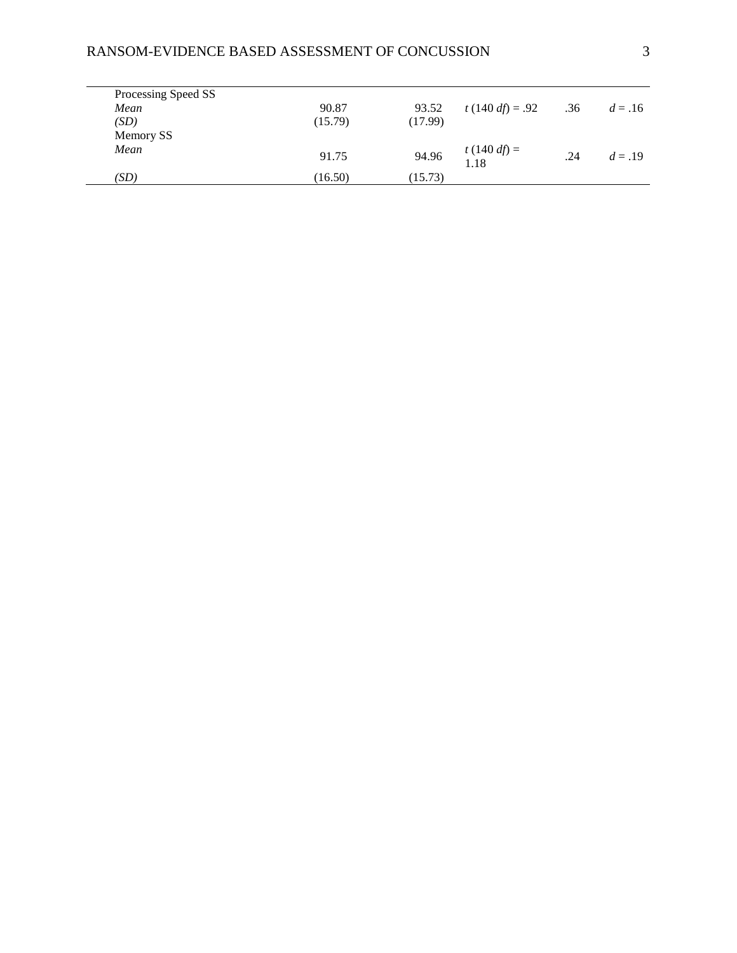# RANSOM-EVIDENCE BASED ASSESSMENT OF CONCUSSION 3

| Processing Speed SS |         |         |                       |     |           |
|---------------------|---------|---------|-----------------------|-----|-----------|
| Mean                | 90.87   | 93.52   | t (140 df) = .92      | .36 | $d = .16$ |
| (SD)                | (15.79) | (17.99) |                       |     |           |
| Memory SS           |         |         |                       |     |           |
| Mean                | 91.75   | 94.96   | $t(140 df) =$<br>1.18 | .24 | $d = .19$ |
| (SD)                | (16.50) | (15.73) |                       |     |           |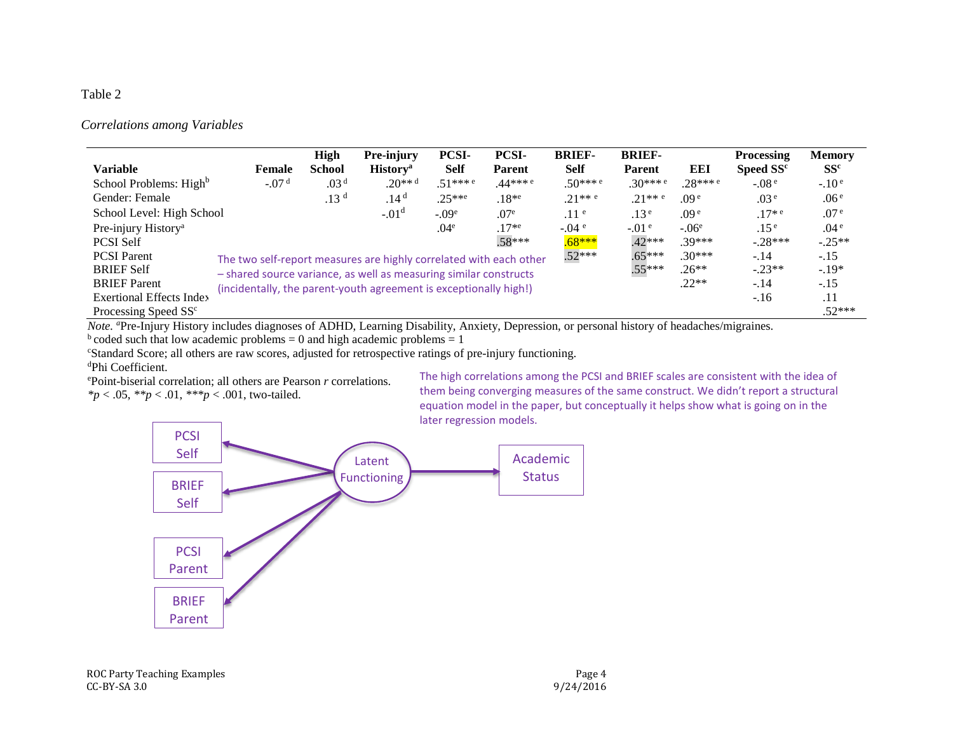### **Correlations among Variables**

|                                    |                                                                                                                                                                                                                          | <b>High</b>      | Pre-injury                  | <b>PCSI-</b>          | <b>PCSI-</b>          | <b>BRIEF-</b>         | <b>BRIEF-</b>         |                       | <b>Processing</b>     | <b>Memory</b>    |
|------------------------------------|--------------------------------------------------------------------------------------------------------------------------------------------------------------------------------------------------------------------------|------------------|-----------------------------|-----------------------|-----------------------|-----------------------|-----------------------|-----------------------|-----------------------|------------------|
| <b>Variable</b>                    | <b>Female</b>                                                                                                                                                                                                            | <b>School</b>    | <b>History</b> <sup>a</sup> | <b>Self</b>           | <b>Parent</b>         | <b>Self</b>           | <b>Parent</b>         | EEI                   | Speed SS <sup>c</sup> | SS <sup>c</sup>  |
| School Problems: High <sup>b</sup> | $-.07d$                                                                                                                                                                                                                  | .03 <sup>d</sup> | $.20***$ <sup>d</sup>       | $.51***$ <sup>e</sup> | $.44***$ <sup>e</sup> | $.50***$ <sup>e</sup> | $.30***$ <sup>e</sup> | $.28***$ <sup>e</sup> | $-.08e$               | $-.10e$          |
| Gender: Female                     |                                                                                                                                                                                                                          | .13 <sup>d</sup> | .14 <sup>d</sup>            | $.25***$              | $.18*$ <sup>e</sup>   | $.21***$ e            | $.21***$ e            | .09 <sup>e</sup>      | .03 <sup>e</sup>      | .06 <sup>e</sup> |
| School Level: High School          |                                                                                                                                                                                                                          |                  | $-.01d$                     | $-.09e$               | .07 <sup>e</sup>      | .11 <sup>e</sup>      | .13 <sup>e</sup>      | .09 <sup>e</sup>      | $.17*$ <sup>e</sup>   | .07 <sup>e</sup> |
| Pre-injury History <sup>a</sup>    |                                                                                                                                                                                                                          |                  |                             | .04 <sup>e</sup>      | $.17*$ <sup>e</sup>   | $-.04e$               | $-0.01$ e             | $-.06e$               | .15 <sup>e</sup>      | .04 <sup>e</sup> |
| <b>PCSI Self</b>                   |                                                                                                                                                                                                                          |                  |                             |                       | .58***                | $.68***$              | $.42***$              | $.39***$              | $-.28***$             | $-.25**$         |
| <b>PCSI</b> Parent                 | $.52***$<br>The two self-report measures are highly correlated with each other<br>- shared source variance, as well as measuring similar constructs<br>(incidentally, the parent-youth agreement is exceptionally high!) |                  |                             |                       |                       |                       | $.65***$              | $.30***$              | $-.14$                | $-.15$           |
| <b>BRIEF Self</b>                  |                                                                                                                                                                                                                          |                  |                             |                       |                       |                       | $.55***$              | $.26**$               | $-.23**$              | $-.19*$          |
| <b>BRIEF</b> Parent                |                                                                                                                                                                                                                          |                  |                             |                       |                       |                       | $.22**$               | $-.14$                | $-.15$                |                  |
| <b>Exertional Effects Index</b>    |                                                                                                                                                                                                                          |                  |                             |                       |                       |                       |                       |                       | $-16$                 | .11              |
| Processing Speed SS <sup>c</sup>   |                                                                                                                                                                                                                          |                  |                             |                       |                       |                       |                       |                       |                       | $.52***$         |

Note. "Pre-Injury History includes diagnoses of ADHD, Learning Disability, Anxiety, Depression, or personal history of headaches/migraines.

 $<sup>b</sup>$  coded such that low academic problems = 0 and high academic problems = 1</sup>

"Standard Score; all others are raw scores, adjusted for retrospective ratings of pre-injury functioning.

#### <sup>d</sup>Phi Coefficient.

ePoint-biserial correlation; all others are Pearson r correlations. \* $p < .05$ , \*\* $p < .01$ , \*\*\* $p < .001$ , two-tailed.

The high correlations among the PCSI and BRIEF scales are consistent with the idea of them being converging measures of the same construct. We didn't report a structural equation model in the paper, but conceptually it helps show what is going on in the later regression models.

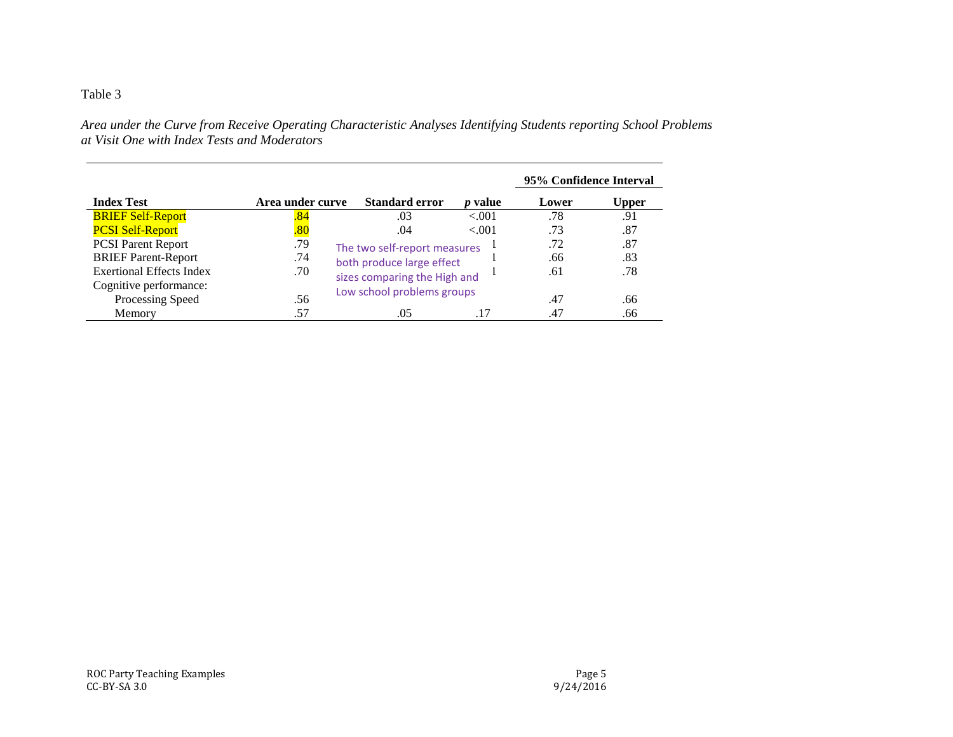*Area under the Curve from Receive Operating Characteristic Analyses Identifying Students reporting School Problems at Visit One with Index Tests and Moderators*

|                                 |                  |                              |                | 95% Confidence Interval |       |
|---------------------------------|------------------|------------------------------|----------------|-------------------------|-------|
| <b>Index Test</b>               | Area under curve | <b>Standard error</b>        | <i>p</i> value | Lower                   | Upper |
| <b>BRIEF Self-Report</b>        | 84               | .03                          | < 0.001        | .78                     | .91   |
| <b>PCSI Self-Report</b>         | <u>.80</u>       | .04                          | < 0.001        | .73                     | .87   |
| <b>PCSI Parent Report</b>       | .79              | The two self-report measures |                | .72                     | .87   |
| <b>BRIEF Parent-Report</b>      | .74              | both produce large effect    |                | .66                     | .83   |
| <b>Exertional Effects Index</b> | .70              | sizes comparing the High and |                | .61                     | .78   |
| Cognitive performance:          |                  | Low school problems groups   |                |                         |       |
| Processing Speed                | .56              |                              |                | .47                     | .66   |
| Memory                          | .57              | .05                          | .17            | .47                     | .66   |